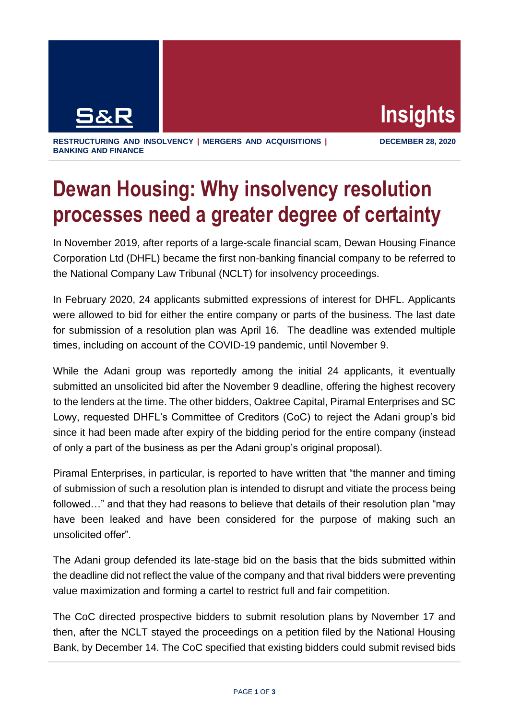

**RESTRUCTURING AND INSOLVENCY | MERGERS AND ACQUISITIONS | BANKING AND FINANCE**

**DECEMBER 28, 2020**

## **Dewan Housing: Why insolvency resolution processes need a greater degree of certainty**

In November 2019, after reports of a large-scale financial scam, Dewan Housing Finance Corporation Ltd (DHFL) became the first non-banking financial company to be referred to the National Company Law Tribunal (NCLT) for insolvency proceedings.

In February 2020, 24 applicants submitted expressions of interest for DHFL. Applicants were allowed to bid for either the entire company or parts of the business. The last date for submission of a resolution plan was April 16. The deadline was extended multiple times, including on account of the COVID-19 pandemic, until November 9.

While the Adani group was reportedly among the initial 24 applicants, it eventually submitted an unsolicited bid after the November 9 deadline, offering the highest recovery to the lenders at the time. The other bidders, Oaktree Capital, Piramal Enterprises and SC Lowy, requested DHFL's Committee of Creditors (CoC) to reject the Adani group's bid since it had been made after expiry of the bidding period for the entire company (instead of only a part of the business as per the Adani group's original proposal).

Piramal Enterprises, in particular, is reported to have written that "the manner and timing of submission of such a resolution plan is intended to disrupt and vitiate the process being followed…" and that they had reasons to believe that details of their resolution plan "may have been leaked and have been considered for the purpose of making such an unsolicited offer".

The Adani group defended its late-stage bid on the basis that the bids submitted within the deadline did not reflect the value of the company and that rival bidders were preventing value maximization and forming a cartel to restrict full and fair competition.

The CoC directed prospective bidders to submit resolution plans by November 17 and then, after the NCLT stayed the proceedings on a petition filed by the National Housing Bank, by December 14. The CoC specified that existing bidders could submit revised bids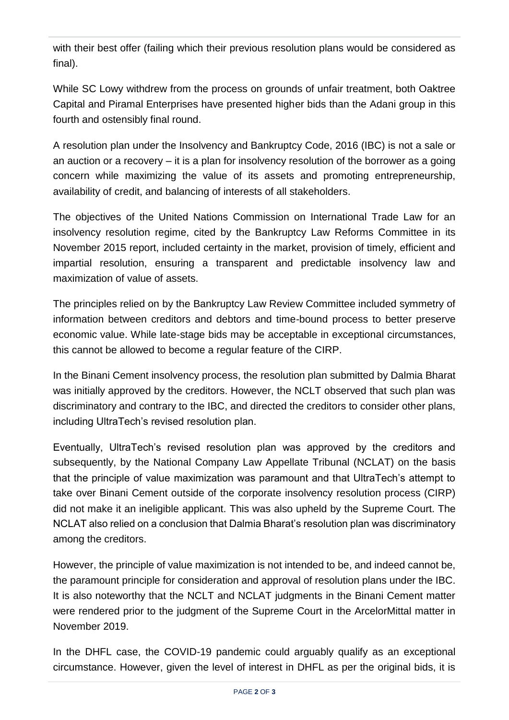with their best offer (failing which their previous resolution plans would be considered as final).

While SC Lowy withdrew from the process on grounds of unfair treatment, both Oaktree Capital and Piramal Enterprises have presented higher bids than the Adani group in this fourth and ostensibly final round.

A resolution plan under the Insolvency and Bankruptcy Code, 2016 (IBC) is not a sale or an auction or a recovery – it is a plan for insolvency resolution of the borrower as a going concern while maximizing the value of its assets and promoting entrepreneurship, availability of credit, and balancing of interests of all stakeholders.

The objectives of the United Nations Commission on International Trade Law for an insolvency resolution regime, cited by the Bankruptcy Law Reforms Committee in its November 2015 report, included certainty in the market, provision of timely, efficient and impartial resolution, ensuring a transparent and predictable insolvency law and maximization of value of assets.

The principles relied on by the Bankruptcy Law Review Committee included symmetry of information between creditors and debtors and time-bound process to better preserve economic value. While late-stage bids may be acceptable in exceptional circumstances, this cannot be allowed to become a regular feature of the CIRP.

In the Binani Cement insolvency process, the resolution plan submitted by Dalmia Bharat was initially approved by the creditors. However, the NCLT observed that such plan was discriminatory and contrary to the IBC, and directed the creditors to consider other plans, including UltraTech's revised resolution plan.

Eventually, UltraTech's revised resolution plan was approved by the creditors and subsequently, by the National Company Law Appellate Tribunal (NCLAT) on the basis that the principle of value maximization was paramount and that UltraTech's attempt to take over Binani Cement outside of the corporate insolvency resolution process (CIRP) did not make it an ineligible applicant. This was also upheld by the Supreme Court. The NCLAT also relied on a conclusion that Dalmia Bharat's resolution plan was discriminatory among the creditors.

However, the principle of value maximization is not intended to be, and indeed cannot be, the paramount principle for consideration and approval of resolution plans under the IBC. It is also noteworthy that the NCLT and NCLAT judgments in the Binani Cement matter were rendered prior to the judgment of the Supreme Court in the ArcelorMittal matter in November 2019.

In the DHFL case, the COVID-19 pandemic could arguably qualify as an exceptional circumstance. However, given the level of interest in DHFL as per the original bids, it is